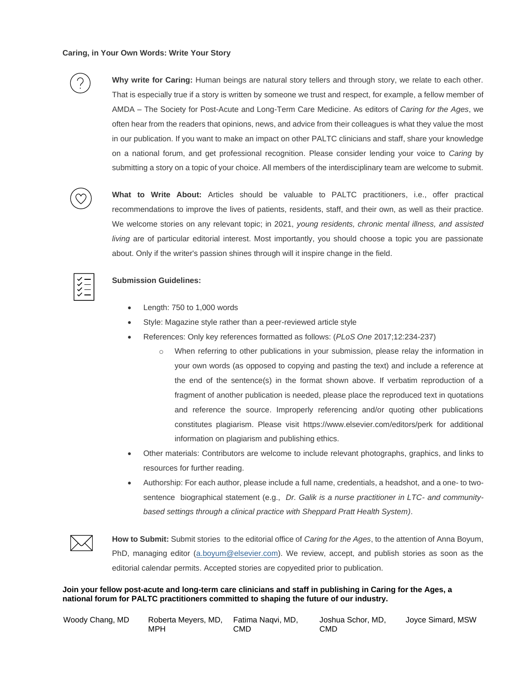

**Why write for Caring:** Human beings are natural story tellers and through story, we relate to each other. That is especially true if a story is written by someone we trust and respect, for example, a fellow member of AMDA – The Society for Post-Acute and Long-Term Care Medicine. As editors of *Caring for the Ages*, we often hear from the readers that opinions, news, and advice from their colleagues is what they value the most in our publication. If you want to make an impact on other PALTC clinicians and staff, share your knowledge on a national forum, and get professional recognition. Please consider lending your voice to *Caring* by submitting a story on a topic of your choice. All members of the interdisciplinary team are welcome to submit.



**What to Write About:** Articles should be valuable to PALTC practitioners, i.e., offer practical recommendations to improve the lives of patients, residents, staff, and their own, as well as their practice. We welcome stories on any relevant topic; in 2021, *young residents, chronic mental illness, and assisted living* are of particular editorial interest. Most importantly, you should choose a topic you are passionate about. Only if the writer's passion shines through will it inspire change in the field.



## **Submission Guidelines:**

- Length: 750 to 1,000 words
- Style: Magazine style rather than a peer-reviewed article style
- References: Only key references formatted as follows: (*PLoS One* 2017;12:234-237)
	- $\circ$  When referring to other publications in your submission, please relay the information in your own words (as opposed to copying and pasting the text) and include a reference at the end of the sentence(s) in the format shown above. If verbatim reproduction of a fragment of another publication is needed, please place the reproduced text in quotations and reference the source. Improperly referencing and/or quoting other publications constitutes plagiarism. Please visit https://www.elsevier.com/editors/perk for additional information on plagiarism and publishing ethics.
- Other materials: Contributors are welcome to include relevant photographs, graphics, and links to resources for further reading.
- Authorship: For each author, please include a full name, credentials, a headshot, and a one- to twosentence biographical statement (e.g., *Dr. Galik is a nurse practitioner in LTC- and communitybased settings through a clinical practice with Sheppard Pratt Health System)*.



**How to Submit:** Submit stories to the editorial office of *Caring for the Ages*, to the attention of Anna Boyum, PhD, managing editor [\(a.boyum@elsevier.com\)](mailto:a.boyum@elsevier.com). We review, accept, and publish stories as soon as the editorial calendar permits. Accepted stories are copyedited prior to publication.

**Join your fellow post-acute and long-term care clinicians and staff in publishing in Caring for the Ages, a national forum for PALTC practitioners committed to shaping the future of our industry.**

| Woody Chang, MD | Roberta Meyers, MD, Fatima Nagvi, MD, |     | Joshua Schor, MD, | Joyce Simard, MSW |
|-----------------|---------------------------------------|-----|-------------------|-------------------|
|                 | MPH                                   | CMD | CMD               |                   |